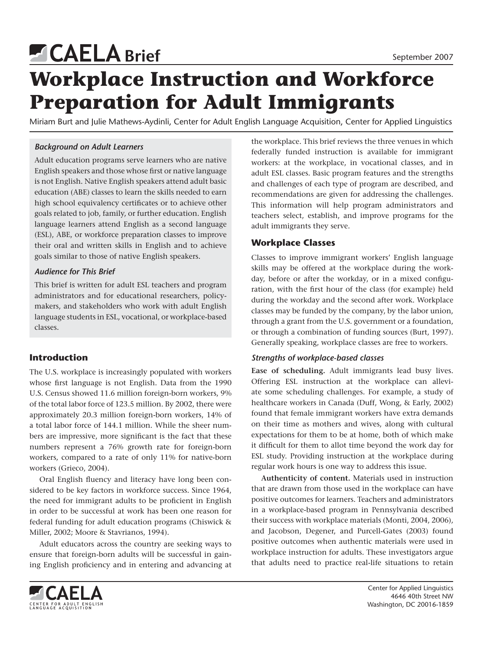# **Brief** September 2007

# **Workplace Instruction and Workforce Preparation for Adult Immigrants**

Miriam Burt and Julie Mathews-Aydinli, Center for Adult English Language Acquisition, Center for Applied Linguistics

# *Background on Adult Learners*

Adult education programs serve learners who are native English speakers and those whose first or native language is not English. Native English speakers attend adult basic education (ABE) classes to learn the skills needed to earn high school equivalency certificates or to achieve other goals related to job, family, or further education. English language learners attend English as a second language (ESL), ABE, or workforce preparation classes to improve their oral and written skills in English and to achieve goals similar to those of native English speakers.

## *Audience for This Brief*

This brief is written for adult ESL teachers and program administrators and for educational researchers, policymakers, and stakeholders who work with adult English language students in ESL, vocational, or workplace-based classes.

# **Introduction**

The U.S. workplace is increasingly populated with workers whose first language is not English. Data from the 1990 U.S. Census showed 11.6 million foreign-born workers, 9% of the total labor force of 123.5 million. By 2002, there were approximately 20.3 million foreign-born workers, 14% of a total labor force of 144.1 million. While the sheer numbers are impressive, more significant is the fact that these numbers represent a 76% growth rate for foreign-born workers, compared to a rate of only 11% for native-born workers (Grieco, 2004).

Oral English fluency and literacy have long been considered to be key factors in workforce success. Since 1964, the need for immigrant adults to be proficient in English in order to be successful at work has been one reason for federal funding for adult education programs (Chiswick & Miller, 2002; Moore & Stavrianos, 1994).

Adult educators across the country are seeking ways to ensure that foreign-born adults will be successful in gaining English proficiency and in entering and advancing at the workplace. This brief reviews the three venues in which federally funded instruction is available for immigrant workers: at the workplace, in vocational classes, and in adult ESL classes. Basic program features and the strengths and challenges of each type of program are described, and recommendations are given for addressing the challenges. This information will help program administrators and teachers select, establish, and improve programs for the adult immigrants they serve.

# **Workplace Classes**

Classes to improve immigrant workers' English language skills may be offered at the workplace during the workday, before or after the workday, or in a mixed configuration, with the first hour of the class (for example) held during the workday and the second after work. Workplace classes may be funded by the company, by the labor union, through a grant from the U.S. government or a foundation, or through a combination of funding sources (Burt, 1997). Generally speaking, workplace classes are free to workers.

# *Strengths of workplace-based classes*

**Ease of scheduling.** Adult immigrants lead busy lives. Offering ESL instruction at the workplace can alleviate some scheduling challenges. For example, a study of healthcare workers in Canada (Duff, Wong, & Early, 2002) found that female immigrant workers have extra demands on their time as mothers and wives, along with cultural expectations for them to be at home, both of which make it difficult for them to allot time beyond the work day for ESL study. Providing instruction at the workplace during regular work hours is one way to address this issue.

**Authenticity of content.** Materials used in instruction that are drawn from those used in the workplace can have positive outcomes for learners. Teachers and administrators in a workplace-based program in Pennsylvania described their success with workplace materials (Monti, 2004, 2006), and Jacobson, Degener, and Purcell-Gates (2003) found positive outcomes when authentic materials were used in workplace instruction for adults. These investigators argue that adults need to practice real-life situations to retain



Center for Applied Linguistics 4646 40th Street NW Washington, DC 20016-1859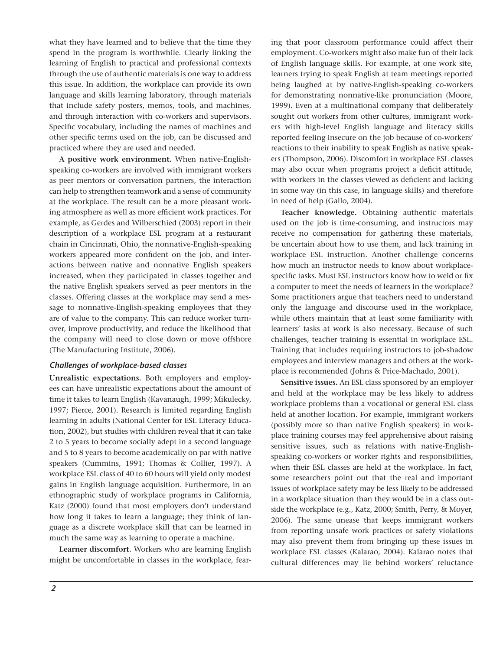what they have learned and to believe that the time they spend in the program is worthwhile. Clearly linking the learning of English to practical and professional contexts through the use of authentic materials is one way to address this issue. In addition, the workplace can provide its own language and skills learning laboratory, through materials that include safety posters, memos, tools, and machines, and through interaction with co-workers and supervisors. Specific vocabulary, including the names of machines and other specific terms used on the job, can be discussed and practiced where they are used and needed.

**A positive work environment.** When native-Englishspeaking co-workers are involved with immigrant workers as peer mentors or conversation partners, the interaction can help to strengthen teamwork and a sense of community at the workplace. The result can be a more pleasant working atmosphere as well as more efficient work practices. For example, as Gerdes and Wilberschied (2003) report in their description of a workplace ESL program at a restaurant chain in Cincinnati, Ohio, the nonnative-English-speaking workers appeared more confident on the job, and interactions between native and nonnative English speakers increased, when they participated in classes together and the native English speakers served as peer mentors in the classes. Offering classes at the workplace may send a message to nonnative-English-speaking employees that they are of value to the company. This can reduce worker turnover, improve productivity, and reduce the likelihood that the company will need to close down or move offshore (The Manufacturing Institute, 2006).

#### *Challenges of workplace-based classes*

**Unrealistic expectations.** Both employers and employees can have unrealistic expectations about the amount of time it takes to learn English (Kavanaugh, 1999; Mikulecky, 1997; Pierce, 2001). Research is limited regarding English learning in adults (National Center for ESL Literacy Education, 2002), but studies with children reveal that it can take 2 to 5 years to become socially adept in a second language and 5 to 8 years to become academically on par with native speakers (Cummins, 1991; Thomas & Collier, 1997). A workplace ESL class of 40 to 60 hours will yield only modest gains in English language acquisition. Furthermore, in an ethnographic study of workplace programs in California, Katz (2000) found that most employers don't understand how long it takes to learn a language; they think of language as a discrete workplace skill that can be learned in much the same way as learning to operate a machine.

**Learner discomfort.** Workers who are learning English might be uncomfortable in classes in the workplace, fearing that poor classroom performance could affect their employment. Co-workers might also make fun of their lack of English language skills. For example, at one work site, learners trying to speak English at team meetings reported being laughed at by native-English-speaking co-workers for demonstrating nonnative-like pronunciation (Moore, 1999). Even at a multinational company that deliberately sought out workers from other cultures, immigrant workers with high-level English language and literacy skills reported feeling insecure on the job because of co-workers' reactions to their inability to speak English as native speakers (Thompson, 2006). Discomfort in workplace ESL classes may also occur when programs project a deficit attitude, with workers in the classes viewed as deficient and lacking in some way (in this case, in language skills) and therefore in need of help (Gallo, 2004).

**Teacher knowledge.** Obtaining authentic materials used on the job is time-consuming, and instructors may receive no compensation for gathering these materials, be uncertain about how to use them, and lack training in workplace ESL instruction. Another challenge concerns how much an instructor needs to know about workplacespecific tasks. Must ESL instructors know how to weld or fix a computer to meet the needs of learners in the workplace? Some practitioners argue that teachers need to understand only the language and discourse used in the workplace, while others maintain that at least some familiarity with learners' tasks at work is also necessary. Because of such challenges, teacher training is essential in workplace ESL. Training that includes requiring instructors to job-shadow employees and interview managers and others at the workplace is recommended (Johns & Price-Machado, 2001).

**Sensitive issues.** An ESL class sponsored by an employer and held at the workplace may be less likely to address workplace problems than a vocational or general ESL class held at another location. For example, immigrant workers (possibly more so than native English speakers) in workplace training courses may feel apprehensive about raising sensitive issues, such as relations with native-Englishspeaking co-workers or worker rights and responsibilities, when their ESL classes are held at the workplace. In fact, some researchers point out that the real and important issues of workplace safety may be less likely to be addressed in a workplace situation than they would be in a class outside the workplace (e.g., Katz, 2000; Smith, Perry, & Moyer, 2006). The same unease that keeps immigrant workers from reporting unsafe work practices or safety violations may also prevent them from bringing up these issues in workplace ESL classes (Kalarao, 2004). Kalarao notes that cultural differences may lie behind workers' reluctance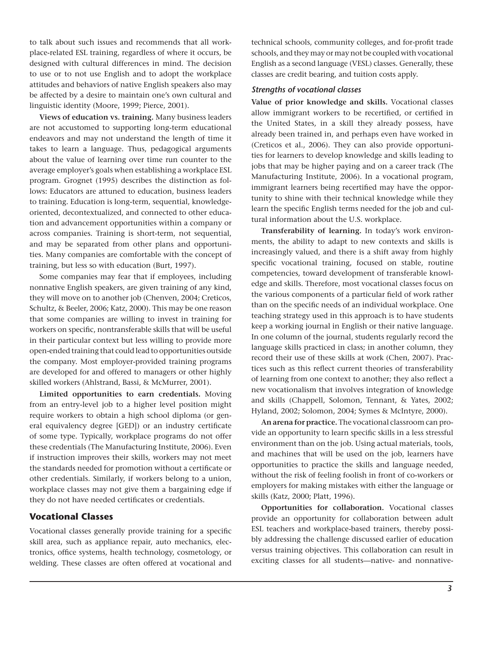to talk about such issues and recommends that all workplace-related ESL training, regardless of where it occurs, be designed with cultural differences in mind. The decision to use or to not use English and to adopt the workplace attitudes and behaviors of native English speakers also may be affected by a desire to maintain one's own cultural and linguistic identity (Moore, 1999; Pierce, 2001).

**Views of education vs. training.** Many business leaders are not accustomed to supporting long-term educational endeavors and may not understand the length of time it takes to learn a language. Thus, pedagogical arguments about the value of learning over time run counter to the average employer's goals when establishing a workplace ESL program. Grognet (1995) describes the distinction as follows: Educators are attuned to education, business leaders to training. Education is long-term, sequential, knowledgeoriented, decontextualized, and connected to other education and advancement opportunities within a company or across companies. Training is short-term, not sequential, and may be separated from other plans and opportunities. Many companies are comfortable with the concept of training, but less so with education (Burt, 1997).

Some companies may fear that if employees, including nonnative English speakers, are given training of any kind, they will move on to another job (Chenven, 2004; Creticos, Schultz, & Beeler, 2006; Katz, 2000). This may be one reason that some companies are willing to invest in training for workers on specific, nontransferable skills that will be useful in their particular context but less willing to provide more open-ended training that could lead to opportunities outside the company. Most employer-provided training programs are developed for and offered to managers or other highly skilled workers (Ahlstrand, Bassi, & McMurrer, 2001).

**Limited opportunities to earn credentials.** Moving from an entry-level job to a higher level position might require workers to obtain a high school diploma (or general equivalency degree [GED]) or an industry certificate of some type. Typically, workplace programs do not offer these credentials (The Manufacturing Institute, 2006). Even if instruction improves their skills, workers may not meet the standards needed for promotion without a certificate or other credentials. Similarly, if workers belong to a union, workplace classes may not give them a bargaining edge if they do not have needed certificates or credentials.

#### **Vocational Classes**

Vocational classes generally provide training for a specific skill area, such as appliance repair, auto mechanics, electronics, office systems, health technology, cosmetology, or welding. These classes are often offered at vocational and technical schools, community colleges, and for-profit trade schools, and they may or may not be coupled with vocational English as a second language (VESL) classes. Generally, these classes are credit bearing, and tuition costs apply.

#### *Strengths of vocational classes*

**Value of prior knowledge and skills.** Vocational classes allow immigrant workers to be recertified, or certified in the United States, in a skill they already possess, have already been trained in, and perhaps even have worked in (Creticos et al., 2006). They can also provide opportunities for learners to develop knowledge and skills leading to jobs that may be higher paying and on a career track (The Manufacturing Institute, 2006). In a vocational program, immigrant learners being recertified may have the opportunity to shine with their technical knowledge while they learn the specific English terms needed for the job and cultural information about the U.S. workplace.

**Transferability of learning.** In today's work environments, the ability to adapt to new contexts and skills is increasingly valued, and there is a shift away from highly specific vocational training, focused on stable, routine competencies, toward development of transferable knowledge and skills. Therefore, most vocational classes focus on the various components of a particular field of work rather than on the specific needs of an individual workplace. One teaching strategy used in this approach is to have students keep a working journal in English or their native language. In one column of the journal, students regularly record the language skills practiced in class; in another column, they record their use of these skills at work (Chen, 2007). Practices such as this reflect current theories of transferability of learning from one context to another; they also reflect a new vocationalism that involves integration of knowledge and skills (Chappell, Solomon, Tennant, & Yates, 2002; Hyland, 2002; Solomon, 2004; Symes & McIntyre, 2000).

**An arena for practice.** The vocational classroom can provide an opportunity to learn specific skills in a less stressful environment than on the job. Using actual materials, tools, and machines that will be used on the job, learners have opportunities to practice the skills and language needed, without the risk of feeling foolish in front of co-workers or employers for making mistakes with either the language or skills (Katz, 2000; Platt, 1996).

**Opportunities for collaboration.** Vocational classes provide an opportunity for collaboration between adult ESL teachers and workplace-based trainers, thereby possibly addressing the challenge discussed earlier of education versus training objectives. This collaboration can result in exciting classes for all students—native- and nonnative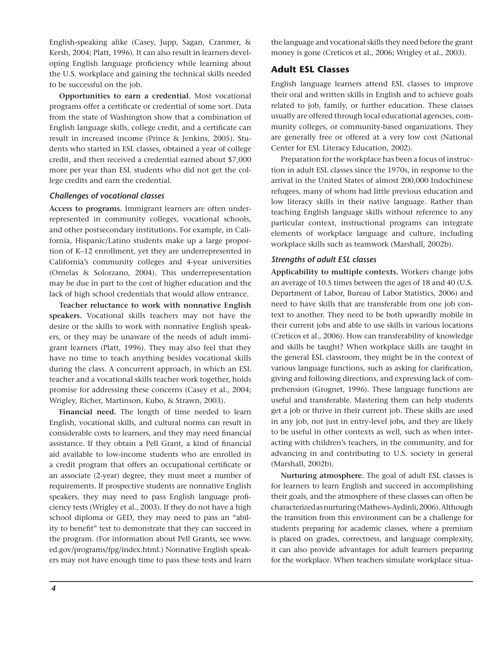English-speaking alike (Casey, Jupp, Sagan, Cranmer, & Kersh, 2004; Platt, 1996). It can also result in learners developing English language proficiency while learning about the U.S. workplace and gaining the technical skills needed to be successful on the job.

**Opportunities to earn a credential.** Most vocational programs offer a certificate or credential of some sort. Data from the state of Washington show that a combination of English language skills, college credit, and a certificate can result in increased income (Prince & Jenkins, 2005). Students who started in ESL classes, obtained a year of college credit, and then received a credential earned about \$7,000 more per year than ESL students who did not get the college credits and earn the credential.

#### *Challenges of vocational classes*

**Access to programs.** Immigrant learners are often underrepresented in community colleges, vocational schools, and other postsecondary institutions. For example, in California, Hispanic/Latino students make up a large proportion of K–12 enrollment, yet they are underrepresented in California's community colleges and 4-year universities (Ornelas & Solorzano, 2004). This underrepresentation may be due in part to the cost of higher education and the lack of high school credentials that would allow entrance.

**Teacher reluctance to work with nonnative English speakers.** Vocational skills teachers may not have the desire or the skills to work with nonnative English speakers, or they may be unaware of the needs of adult immigrant learners (Platt, 1996). They may also feel that they have no time to teach anything besides vocational skills during the class. A concurrent approach, in which an ESL teacher and a vocational skills teacher work together, holds promise for addressing these concerns (Casey et al., 2004; Wrigley, Richer, Martinson, Kubo, & Strawn, 2003).

**Financial need.** The length of time needed to learn English, vocational skills, and cultural norms can result in considerable costs to learners, and they may need financial assistance. If they obtain a Pell Grant, a kind of financial aid available to low-income students who are enrolled in a credit program that offers an occupational certificate or an associate (2-year) degree, they must meet a number of requirements. If prospective students are nonnative English speakers, they may need to pass English language proficiency tests (Wrigley et al., 2003). If they do not have a high school diploma or GED, they may need to pass an "ability to benefit" test to demonstrate that they can succeed in the program. (For information about Pell Grants, see www. ed.gov/programs/fpg/index.html.) Nonnative English speakers may not have enough time to pass these tests and learn the language and vocational skills they need before the grant money is gone (Creticos et al., 2006; Wrigley et al., 2003).

## **Adult ESL Classes**

English language learners attend ESL classes to improve their oral and written skills in English and to achieve goals related to job, family, or further education. These classes usually are offered through local educational agencies, community colleges, or community-based organizations. They are generally free or offered at a very low cost (National Center for ESL Literacy Education, 2002).

Preparation for the workplace has been a focus of instruction in adult ESL classes since the 1970s, in response to the arrival in the United States of almost 200,000 Indochinese refugees, many of whom had little previous education and low literacy skills in their native language. Rather than teaching English language skills without reference to any particular context, instructional programs can integrate elements of workplace language and culture, including workplace skills such as teamwork (Marshall, 2002b).

#### *Strengths of adult ESL classes*

**Applicability to multiple contexts.** Workers change jobs an average of 10.5 times between the ages of 18 and 40 (U.S. Department of Labor, Bureau of Labor Statistics, 2006) and need to have skills that are transferable from one job context to another. They need to be both upwardly mobile in their current jobs and able to use skills in various locations (Creticos et al., 2006). How can transferability of knowledge and skills be taught? When workplace skills are taught in the general ESL classroom, they might be in the context of various language functions, such as asking for clarification, giving and following directions, and expressing lack of comprehension (Grognet, 1996). These language functions are useful and transferable. Mastering them can help students get a job or thrive in their current job. These skills are used in any job, not just in entry-level jobs, and they are likely to be useful in other contexts as well, such as when interacting with children's teachers, in the community, and for advancing in and contributing to U.S. society in general (Marshall, 2002b).

**Nurturing atmosphere.** The goal of adult ESL classes is for learners to learn English and succeed in accomplishing their goals, and the atmosphere of these classes can often be characterized as nurturing (Mathews-Aydinli, 2006). Although the transition from this environment can be a challenge for students preparing for academic classes, where a premium is placed on grades, correctness, and language complexity, it can also provide advantages for adult learners preparing for the workplace. When teachers simulate workplace situa-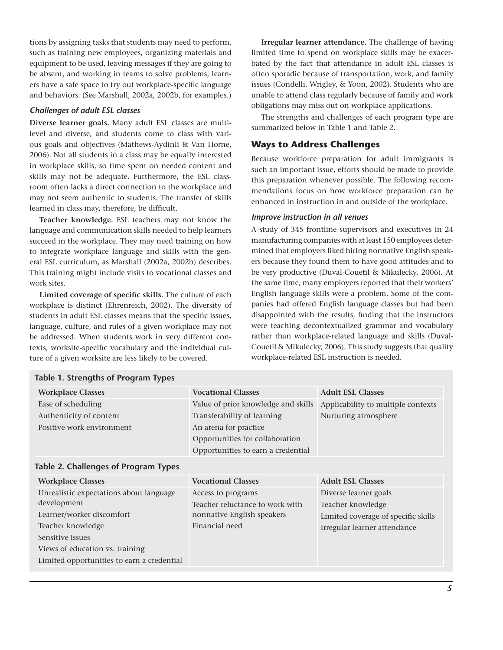tions by assigning tasks that students may need to perform, such as training new employees, organizing materials and equipment to be used, leaving messages if they are going to be absent, and working in teams to solve problems, learners have a safe space to try out workplace-specific language and behaviors. (See Marshall, 2002a, 2002b, for examples.)

#### *Challenges of adult ESL classes*

**Diverse learner goals.** Many adult ESL classes are multilevel and diverse, and students come to class with various goals and objectives (Mathews-Aydinli & Van Horne, 2006). Not all students in a class may be equally interested in workplace skills, so time spent on needed content and skills may not be adequate. Furthermore, the ESL classroom often lacks a direct connection to the workplace and may not seem authentic to students. The transfer of skills learned in class may, therefore, be difficult.

**Teacher knowledge.** ESL teachers may not know the language and communication skills needed to help learners succeed in the workplace. They may need training on how to integrate workplace language and skills with the general ESL curriculum, as Marshall (2002a, 2002b) describes. This training might include visits to vocational classes and work sites.

**Limited coverage of specific skills.** The culture of each workplace is distinct (Ehrenreich, 2002). The diversity of students in adult ESL classes means that the specific issues, language, culture, and rules of a given workplace may not be addressed. When students work in very different contexts, worksite-specific vocabulary and the individual culture of a given worksite are less likely to be covered.

**Table 1. Strengths of Program Types**

**Irregular learner attendance.** The challenge of having limited time to spend on workplace skills may be exacerbated by the fact that attendance in adult ESL classes is often sporadic because of transportation, work, and family issues (Condelli, Wrigley, & Yoon, 2002). Students who are unable to attend class regularly because of family and work obligations may miss out on workplace applications.

The strengths and challenges of each program type are summarized below in Table 1 and Table 2.

#### **Ways to Address Challenges**

Because workforce preparation for adult immigrants is such an important issue, efforts should be made to provide this preparation whenever possible. The following recommendations focus on how workforce preparation can be enhanced in instruction in and outside of the workplace.

#### *Improve instruction in all venues*

A study of 345 frontline supervisors and executives in 24 manufacturing companies with at least 150 employees determined that employers liked hiring nonnative English speakers because they found them to have good attitudes and to be very productive (Duval-Couetil & Mikulecky, 2006). At the same time, many employers reported that their workers' English language skills were a problem. Some of the companies had offered English language classes but had been disappointed with the results, finding that the instructors were teaching decontextualized grammar and vocabulary rather than workplace-related language and skills (Duval-Couetil & Mikulecky, 2006). This study suggests that quality workplace-related ESL instruction is needed.

| <b>Workplace Classes</b>                    | <b>Vocational Classes</b>           | <b>Adult ESL Classes</b>            |
|---------------------------------------------|-------------------------------------|-------------------------------------|
| Ease of scheduling                          | Value of prior knowledge and skills | Applicability to multiple contexts  |
| Authenticity of content                     | Transferability of learning         | Nurturing atmosphere                |
| Positive work environment                   | An arena for practice               |                                     |
|                                             | Opportunities for collaboration     |                                     |
|                                             | Opportunities to earn a credential  |                                     |
| <b>Table 2. Challenges of Program Types</b> |                                     |                                     |
| <b>Workplace Classes</b>                    | <b>Vocational Classes</b>           | <b>Adult ESL Classes</b>            |
| Unrealistic expectations about language     | Access to programs                  | Diverse learner goals               |
| development                                 | Teacher reluctance to work with     | Teacher knowledge                   |
| Learner/worker discomfort                   | nonnative English speakers          | Limited coverage of specific skills |
| Teacher knowledge                           | Financial need                      | Irregular learner attendance        |
| Sensitive issues                            |                                     |                                     |
| Views of education vs. training             |                                     |                                     |
| Limited opportunities to earn a credential  |                                     |                                     |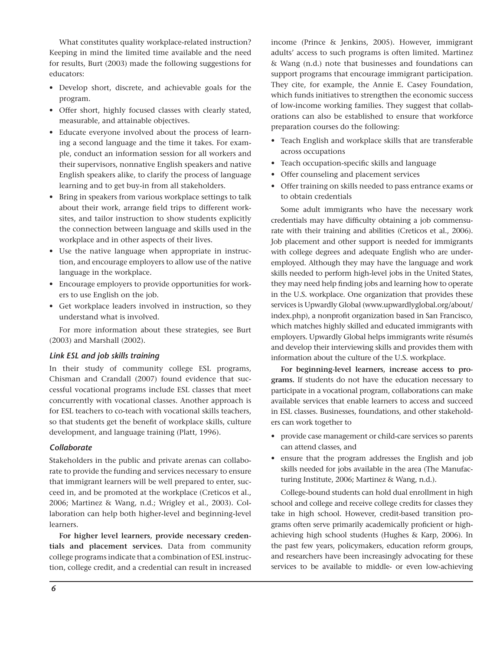What constitutes quality workplace-related instruction? Keeping in mind the limited time available and the need for results, Burt (2003) made the following suggestions for educators:

- Develop short, discrete, and achievable goals for the program.
- • Offer short, highly focused classes with clearly stated, measurable, and attainable objectives.
- • Educate everyone involved about the process of learning a second language and the time it takes. For example, conduct an information session for all workers and their supervisors, nonnative English speakers and native English speakers alike, to clarify the process of language learning and to get buy-in from all stakeholders.
- Bring in speakers from various workplace settings to talk about their work, arrange field trips to different worksites, and tailor instruction to show students explicitly the connection between language and skills used in the workplace and in other aspects of their lives.
- Use the native language when appropriate in instruction, and encourage employers to allow use of the native language in the workplace.
- • Encourage employers to provide opportunities for workers to use English on the job.
- • Get workplace leaders involved in instruction, so they understand what is involved.

For more information about these strategies, see Burt (2003) and Marshall (2002).

#### *Link ESL and job skills training*

In their study of community college ESL programs, Chisman and Crandall (2007) found evidence that successful vocational programs include ESL classes that meet concurrently with vocational classes. Another approach is for ESL teachers to co-teach with vocational skills teachers, so that students get the benefit of workplace skills, culture development, and language training (Platt, 1996).

#### *Collaborate*

Stakeholders in the public and private arenas can collaborate to provide the funding and services necessary to ensure that immigrant learners will be well prepared to enter, succeed in, and be promoted at the workplace (Creticos et al., 2006; Martinez & Wang, n.d.; Wrigley et al., 2003). Collaboration can help both higher-level and beginning-level learners.

**For higher level learners, provide necessary credentials and placement services.** Data from community college programs indicate that a combination of ESL instruction, college credit, and a credential can result in increased income (Prince & Jenkins, 2005). However, immigrant adults' access to such programs is often limited. Martinez & Wang (n.d.) note that businesses and foundations can support programs that encourage immigrant participation. They cite, for example, the Annie E. Casey Foundation, which funds initiatives to strengthen the economic success of low-income working families. They suggest that collaborations can also be established to ensure that workforce preparation courses do the following:

- Teach English and workplace skills that are transferable across occupations
- • Teach occupation-specific skills and language
- • Offer counseling and placement services
- • Offer training on skills needed to pass entrance exams or to obtain credentials

Some adult immigrants who have the necessary work credentials may have difficulty obtaining a job commensurate with their training and abilities (Creticos et al., 2006). Job placement and other support is needed for immigrants with college degrees and adequate English who are underemployed. Although they may have the language and work skills needed to perform high-level jobs in the United States, they may need help finding jobs and learning how to operate in the U.S. workplace. One organization that provides these services is Upwardly Global (www.upwardlyglobal.org/about/ index.php), a nonprofit organization based in San Francisco, which matches highly skilled and educated immigrants with employers. Upwardly Global helps immigrants write résumés and develop their interviewing skills and provides them with information about the culture of the U.S. workplace.

**For beginning-level learners, increase access to programs.** If students do not have the education necessary to participate in a vocational program, collaborations can make available services that enable learners to access and succeed in ESL classes. Businesses, foundations, and other stakeholders can work together to

- • provide case management or child-care services so parents can attend classes, and
- ensure that the program addresses the English and job skills needed for jobs available in the area (The Manufacturing Institute, 2006; Martinez & Wang, n.d.).

College-bound students can hold dual enrollment in high school and college and receive college credits for classes they take in high school. However, credit-based transition programs often serve primarily academically proficient or highachieving high school students (Hughes & Karp, 2006). In the past few years, policymakers, education reform groups, and researchers have been increasingly advocating for these services to be available to middle- or even low-achieving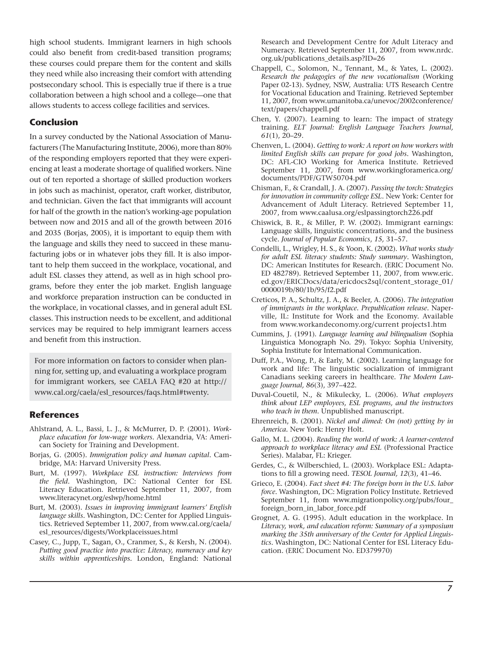high school students. Immigrant learners in high schools could also benefit from credit-based transition programs; these courses could prepare them for the content and skills they need while also increasing their comfort with attending postsecondary school. This is especially true if there is a true collaboration between a high school and a college—one that allows students to access college facilities and services.

#### **Conclusion**

In a survey conducted by the National Association of Manufacturers (The Manufacturing Institute, 2006), more than 80% of the responding employers reported that they were experiencing at least a moderate shortage of qualified workers. Nine out of ten reported a shortage of skilled production workers in jobs such as machinist, operator, craft worker, distributor, and technician. Given the fact that immigrants will account for half of the growth in the nation's working-age population between now and 2015 and all of the growth between 2016 and 2035 (Borjas, 2005), it is important to equip them with the language and skills they need to succeed in these manufacturing jobs or in whatever jobs they fill. It is also important to help them succeed in the workplace, vocational, and adult ESL classes they attend, as well as in high school programs, before they enter the job market. English language and workforce preparation instruction can be conducted in the workplace, in vocational classes, and in general adult ESL classes. This instruction needs to be excellent, and additional services may be required to help immigrant learners access and benefit from this instruction.

For more information on factors to consider when planning for, setting up, and evaluating a workplace program for immigrant workers, see CAELA FAQ #20 at http:// www.cal.org/caela/esl\_resources/faqs.html#twenty.

#### **References**

- Ahlstrand, A. L., Bassi, L. J., & McMurrer, D. P. (2001). *Workplace education for low-wage workers*. Alexandria, VA: American Society for Training and Development.
- Borjas, G. (2005). *Immigration policy and human capital*. Cambridge, MA: Harvard University Press.
- Burt, M. (1997). *Workplace ESL instruction: Interviews from the field*. Washington, DC: National Center for ESL Literacy Education. Retrieved September 11, 2007, from www.literacynet.org/eslwp/home.html
- Burt, M. (2003). *Issues in improving immigrant learners' English language skills*. Washington, DC: Center for Applied Linguistics. Retrieved September 11, 2007, from www.cal.org/caela/ esl\_resources/digests/Workplaceissues.html
- Casey, C., Jupp, T., Sagan, O., Cranmer, S., & Kersh, N. (2004). *Putting good practice into practice: Literacy, numeracy and key skills within apprenticeships.* London, England: National

Research and Development Centre for Adult Literacy and Numeracy. Retrieved September 11, 2007, from www.nrdc. org.uk/publications\_details.asp?ID=26

- Chappell, C., Solomon, N., Tennant, M., & Yates, L. (2002). *Research the pedagogies of the new vocationalism* (Working Paper 02-13). Sydney, NSW, Australia: UTS Research Centre for Vocational Education and Training. Retrieved September 11, 2007, from www.umanitoba.ca/unevoc/2002conference/ text/papers/chappell.pdf
- Chen, Y. (2007). Learning to learn: The impact of strategy training. *ELT Journal: English Language Teachers Journal, 61*(1), 20–29.
- Chenven, L. (2004). *Getting to work: A report on how workers with limited English skills can prepare for good jobs*. Washington, DC: AFL-CIO Working for America Institute. Retrieved September 11, 2007, from www.workingforamerica.org/ documents/PDF/GTW50704.pdf
- Chisman, F., & Crandall, J. A. (2007). *Passing the torch: Strategies for innovation in community college ESL*. New York: Center for Advancement of Adult Literacy. Retrieved September 11, 2007, from www.caalusa.org/eslpassingtorch226.pdf
- Chiswick, B. R., & Miller, P. W. (2002). Immigrant earnings: Language skills, linguistic concentrations, and the business cycle. *Journal of Popular Economics*, *15,* 31–57.
- Condelli, L., Wrigley, H. S., & Yoon, K. (2002). *What works study for adult ESL literacy students: Study summary*. Washington, DC: American Institutes for Research. (ERIC Document No. ED 482789). Retrieved September 11, 2007, from www.eric. ed.gov/ERICDocs/data/ericdocs2sql/content\_storage\_01/ 0000019b/80/1b/95/f2.pdf
- Creticos, P. A., Schultz, J. A., & Beeler, A. (2006). *The integration of immigrants in the workplace. Prepublication release.* Naperville, IL: Institute for Work and the Economy. Available from www.workandeconomy.org/current projects1.htm
- Cummins, J. (1991). *Language learning and bilingualism* (Sophia Linguistica Monograph No. 29). Tokyo: Sophia University, Sophia Institute for International Communication.
- Duff, P.A., Wong, P., & Early, M. (2002). Learning language for work and life: The linguistic socialization of immigrant Canadians seeking careers in healthcare. *The Modern Language Journal, 86*(3), 397–422.
- Duval-Couetil, N., & Mikulecky, L. (2006). *What employers think about LEP employees, ESL programs, and the instructors who teach in them*. Unpublished manuscript.
- Ehrenreich, B. (2001). *Nickel and dimed: On (not) getting by in America.* New York: Henry Holt.
- Gallo, M. L. (2004). *Reading the world of work: A learner-centered approach to workplace literacy and ESL* (Professional Practice Series). Malabar, FL: Krieger.
- Gerdes, C., & Wilberschied, L. (2003). Workplace ESL: Adaptations to fill a growing need. *TESOL Journal, 12*(3), 41–46.
- Grieco, E. (2004). *Fact sheet #4: The foreign born in the U.S. labor force*. Washington, DC: Migration Policy Institute. Retrieved September 11, from www.migrationpolicy.org/pubs/four\_ foreign\_born\_in\_labor\_force.pdf
- Grognet, A. G. (1995). Adult education in the workplace. In *Literacy, work, and education reform: Summary of a symposium marking the 35th anniversary of the Center for Applied Linguistics*. Washington, DC: National Center for ESL Literacy Education. (ERIC Document No. ED379970)